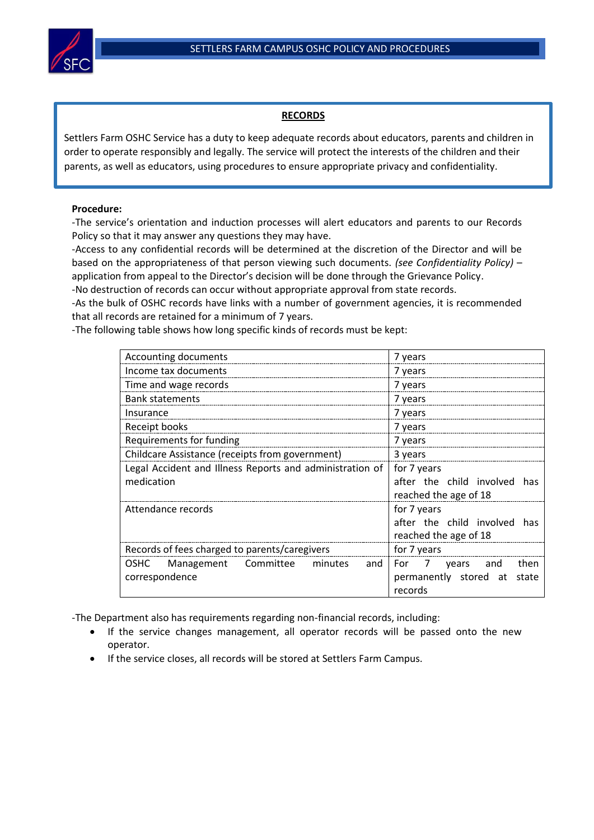

## **RECORDS**

Settlers Farm OSHC Service has a duty to keep adequate records about educators, parents and children in order to operate responsibly and legally. The service will protect the interests of the children and their parents, as well as educators, using procedures to ensure appropriate privacy and confidentiality.

## **Procedure:**

-The service's orientation and induction processes will alert educators and parents to our Records Policy so that it may answer any questions they may have.

-Access to any confidential records will be determined at the discretion of the Director and will be based on the appropriateness of that person viewing such documents. *(see Confidentiality Policy)* – application from appeal to the Director's decision will be done through the Grievance Policy.

-No destruction of records can occur without appropriate approval from state records.

-As the bulk of OSHC records have links with a number of government agencies, it is recommended that all records are retained for a minimum of 7 years.

-The following table shows how long specific kinds of records must be kept:

| Accounting documents                                     | 7 years                                |  |
|----------------------------------------------------------|----------------------------------------|--|
| Income tax documents                                     | 7 years                                |  |
| Time and wage records                                    | 7 years                                |  |
| <b>Bank statements</b>                                   | 7 years                                |  |
| Insurance                                                | 7 years                                |  |
| Receipt books                                            | 7 years                                |  |
| Requirements for funding                                 | 7 years                                |  |
| Childcare Assistance (receipts from government)          | 3 years                                |  |
| Legal Accident and Illness Reports and administration of | for 7 years                            |  |
| medication                                               | after the child involved has           |  |
|                                                          | reached the age of 18                  |  |
| Attendance records                                       | for 7 years                            |  |
|                                                          | after the child involved<br><b>has</b> |  |
|                                                          | reached the age of 18                  |  |
| Records of fees charged to parents/caregivers            | for 7 years                            |  |
| Management Committee<br><b>OSHC</b><br>minutes<br>and    | 7<br>For<br>years<br>and<br>then       |  |
| correspondence                                           | permanently stored at<br>state         |  |
|                                                          | records                                |  |

-The Department also has requirements regarding non-financial records, including:

- If the service changes management, all operator records will be passed onto the new operator.
- If the service closes, all records will be stored at Settlers Farm Campus.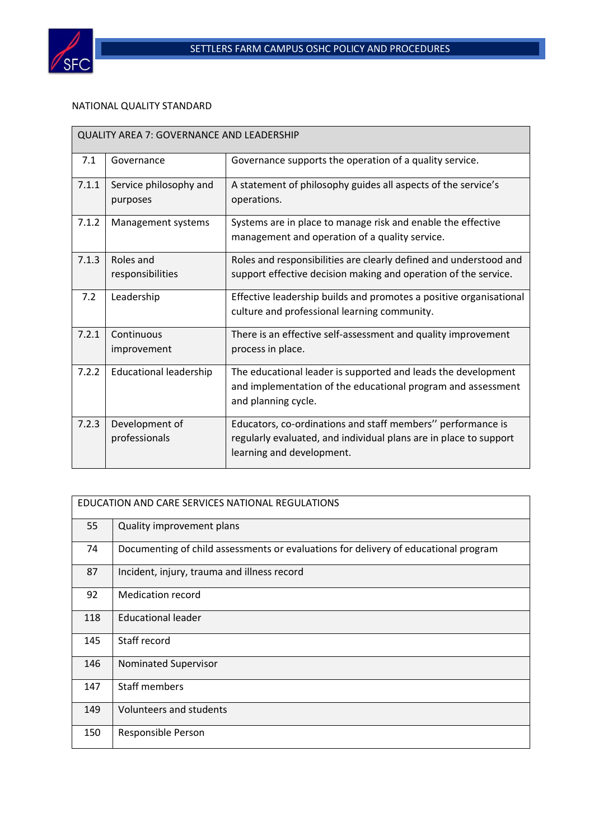

## NATIONAL QUALITY STANDARD

| QUALITY AREA 7: GOVERNANCE AND LEADERSHIP |                                    |                                                                                                                                                               |  |  |  |
|-------------------------------------------|------------------------------------|---------------------------------------------------------------------------------------------------------------------------------------------------------------|--|--|--|
| 7.1                                       | Governance                         | Governance supports the operation of a quality service.                                                                                                       |  |  |  |
| 7.1.1                                     | Service philosophy and<br>purposes | A statement of philosophy guides all aspects of the service's<br>operations.                                                                                  |  |  |  |
| 7.1.2                                     | Management systems                 | Systems are in place to manage risk and enable the effective<br>management and operation of a quality service.                                                |  |  |  |
| 7.1.3                                     | Roles and<br>responsibilities      | Roles and responsibilities are clearly defined and understood and<br>support effective decision making and operation of the service.                          |  |  |  |
| 7.2                                       | Leadership                         | Effective leadership builds and promotes a positive organisational<br>culture and professional learning community.                                            |  |  |  |
| 7.2.1                                     | Continuous<br>improvement          | There is an effective self-assessment and quality improvement<br>process in place.                                                                            |  |  |  |
| 7.2.2                                     | <b>Educational leadership</b>      | The educational leader is supported and leads the development<br>and implementation of the educational program and assessment<br>and planning cycle.          |  |  |  |
| 7.2.3                                     | Development of<br>professionals    | Educators, co-ordinations and staff members" performance is<br>regularly evaluated, and individual plans are in place to support<br>learning and development. |  |  |  |

| EDUCATION AND CARE SERVICES NATIONAL REGULATIONS |                                                                                     |  |  |
|--------------------------------------------------|-------------------------------------------------------------------------------------|--|--|
| 55                                               | Quality improvement plans                                                           |  |  |
| 74                                               | Documenting of child assessments or evaluations for delivery of educational program |  |  |
| 87                                               | Incident, injury, trauma and illness record                                         |  |  |
| 92                                               | <b>Medication record</b>                                                            |  |  |
| 118                                              | <b>Educational leader</b>                                                           |  |  |
| 145                                              | Staff record                                                                        |  |  |
| 146                                              | Nominated Supervisor                                                                |  |  |
| 147                                              | <b>Staff members</b>                                                                |  |  |
| 149                                              | <b>Volunteers and students</b>                                                      |  |  |
| 150                                              | Responsible Person                                                                  |  |  |